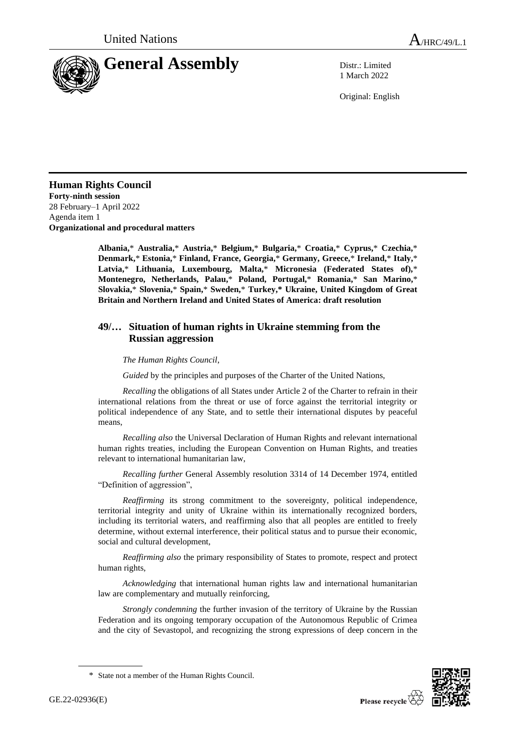

1 March 2022

Original: English

**Human Rights Council Forty-ninth session** 28 February–1 April 2022 Agenda item 1 **Organizational and procedural matters**

> **Albania,**\* **Australia,**\* **Austria,**\* **Belgium,**\* **Bulgaria,**\* **Croatia,**\* **Cyprus,**\* **Czechia,**\* **Denmark,**\* **Estonia,**\* **Finland, France, Georgia,**\* **Germany, Greece,**\* **Ireland,**\* **Italy,**\* **Latvia,**\* **Lithuania, Luxembourg, Malta,**\* **Micronesia (Federated States of),**\* **Montenegro, Netherlands, Palau,**\* **Poland, Portugal,**\* **Romania,**\* **San Marino,**\* **Slovakia,**\* **Slovenia,**\* **Spain,**\* **Sweden,**\* **Turkey,\* Ukraine, United Kingdom of Great Britain and Northern Ireland and United States of America: draft resolution**

## **49/… Situation of human rights in Ukraine stemming from the Russian aggression**

## *The Human Rights Council*,

*Guided* by the principles and purposes of the Charter of the United Nations,

*Recalling* the obligations of all States under Article 2 of the Charter to refrain in their international relations from the threat or use of force against the territorial integrity or political independence of any State, and to settle their international disputes by peaceful means,

*Recalling also* the Universal Declaration of Human Rights and relevant international human rights treaties, including the European Convention on Human Rights, and treaties relevant to international humanitarian law,

*Recalling further* General Assembly resolution 3314 of 14 December 1974, entitled "Definition of aggression",

*Reaffirming* its strong commitment to the sovereignty, political independence, territorial integrity and unity of Ukraine within its internationally recognized borders, including its territorial waters, and reaffirming also that all peoples are entitled to freely determine, without external interference, their political status and to pursue their economic, social and cultural development,

*Reaffirming also* the primary responsibility of States to promote, respect and protect human rights,

*Acknowledging* that international human rights law and international humanitarian law are complementary and mutually reinforcing,

*Strongly condemning* the further invasion of the territory of Ukraine by the Russian Federation and its ongoing temporary occupation of the Autonomous Republic of Crimea and the city of Sevastopol, and recognizing the strong expressions of deep concern in the



<sup>\*</sup> State not a member of the Human Rights Council.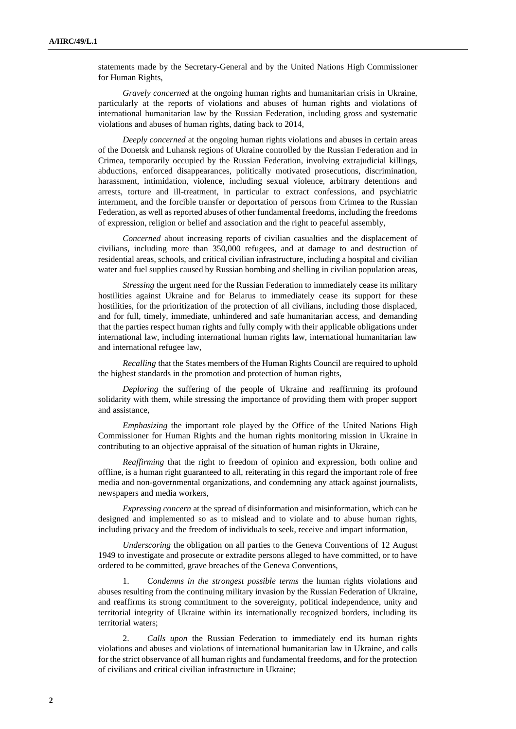statements made by the Secretary-General and by the United Nations High Commissioner for Human Rights,

*Gravely concerned* at the ongoing human rights and humanitarian crisis in Ukraine, particularly at the reports of violations and abuses of human rights and violations of international humanitarian law by the Russian Federation, including gross and systematic violations and abuses of human rights, dating back to 2014,

*Deeply concerned* at the ongoing human rights violations and abuses in certain areas of the Donetsk and Luhansk regions of Ukraine controlled by the Russian Federation and in Crimea, temporarily occupied by the Russian Federation, involving extrajudicial killings, abductions, enforced disappearances, politically motivated prosecutions, discrimination, harassment, intimidation, violence, including sexual violence, arbitrary detentions and arrests, torture and ill-treatment, in particular to extract confessions, and psychiatric internment, and the forcible transfer or deportation of persons from Crimea to the Russian Federation, as well as reported abuses of other fundamental freedoms, including the freedoms of expression, religion or belief and association and the right to peaceful assembly,

*Concerned* about increasing reports of civilian casualties and the displacement of civilians, including more than 350,000 refugees, and at damage to and destruction of residential areas, schools, and critical civilian infrastructure, including a hospital and civilian water and fuel supplies caused by Russian bombing and shelling in civilian population areas,

*Stressing* the urgent need for the Russian Federation to immediately cease its military hostilities against Ukraine and for Belarus to immediately cease its support for these hostilities, for the prioritization of the protection of all civilians, including those displaced, and for full, timely, immediate, unhindered and safe humanitarian access, and demanding that the parties respect human rights and fully comply with their applicable obligations under international law, including international human rights law, international humanitarian law and international refugee law,

*Recalling* that the States members of the Human Rights Council are required to uphold the highest standards in the promotion and protection of human rights,

*Deploring* the suffering of the people of Ukraine and reaffirming its profound solidarity with them, while stressing the importance of providing them with proper support and assistance,

*Emphasizing* the important role played by the Office of the United Nations High Commissioner for Human Rights and the human rights monitoring mission in Ukraine in contributing to an objective appraisal of the situation of human rights in Ukraine,

*Reaffirming* that the right to freedom of opinion and expression, both online and offline, is a human right guaranteed to all, reiterating in this regard the important role of free media and non-governmental organizations, and condemning any attack against journalists, newspapers and media workers,

*Expressing concern* at the spread of disinformation and misinformation, which can be designed and implemented so as to mislead and to violate and to abuse human rights, including privacy and the freedom of individuals to seek, receive and impart information,

*Underscoring* the obligation on all parties to the Geneva Conventions of 12 August 1949 to investigate and prosecute or extradite persons alleged to have committed, or to have ordered to be committed, grave breaches of the Geneva Conventions,

1. *Condemns in the strongest possible terms* the human rights violations and abuses resulting from the continuing military invasion by the Russian Federation of Ukraine, and reaffirms its strong commitment to the sovereignty, political independence, unity and territorial integrity of Ukraine within its internationally recognized borders, including its territorial waters;

2. *Calls upon* the Russian Federation to immediately end its human rights violations and abuses and violations of international humanitarian law in Ukraine, and calls for the strict observance of all human rights and fundamental freedoms, and for the protection of civilians and critical civilian infrastructure in Ukraine;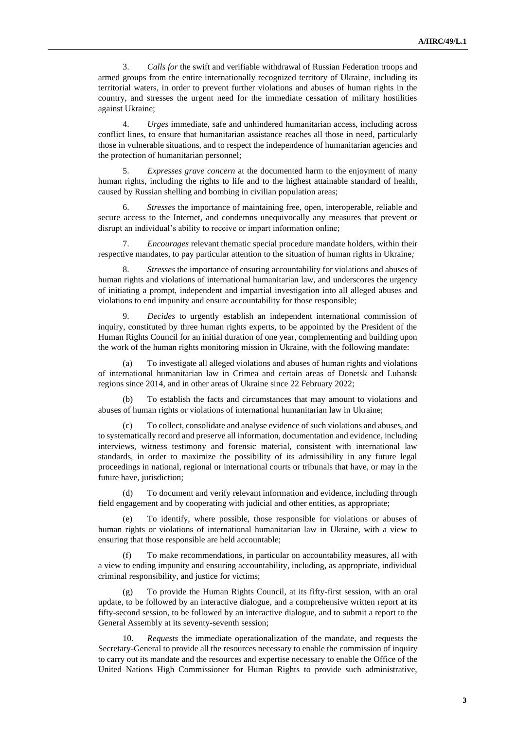3. *Calls for* the swift and verifiable withdrawal of Russian Federation troops and armed groups from the entire internationally recognized territory of Ukraine, including its territorial waters, in order to prevent further violations and abuses of human rights in the country, and stresses the urgent need for the immediate cessation of military hostilities against Ukraine;

4. *Urges* immediate, safe and unhindered humanitarian access, including across conflict lines, to ensure that humanitarian assistance reaches all those in need, particularly those in vulnerable situations, and to respect the independence of humanitarian agencies and the protection of humanitarian personnel;

5. *Expresses grave concern* at the documented harm to the enjoyment of many human rights, including the rights to life and to the highest attainable standard of health, caused by Russian shelling and bombing in civilian population areas;

6. *Stresses* the importance of maintaining free, open, interoperable, reliable and secure access to the Internet, and condemns unequivocally any measures that prevent or disrupt an individual's ability to receive or impart information online;

7. *Encourages* relevant thematic special procedure mandate holders, within their respective mandates, to pay particular attention to the situation of human rights in Ukraine*;*

8. *Stresses* the importance of ensuring accountability for violations and abuses of human rights and violations of international humanitarian law, and underscores the urgency of initiating a prompt, independent and impartial investigation into all alleged abuses and violations to end impunity and ensure accountability for those responsible;

9. *Decides* to urgently establish an independent international commission of inquiry, constituted by three human rights experts, to be appointed by the President of the Human Rights Council for an initial duration of one year, complementing and building upon the work of the human rights monitoring mission in Ukraine, with the following mandate:

(a) To investigate all alleged violations and abuses of human rights and violations of international humanitarian law in Crimea and certain areas of Donetsk and Luhansk regions since 2014, and in other areas of Ukraine since 22 February 2022;

(b) To establish the facts and circumstances that may amount to violations and abuses of human rights or violations of international humanitarian law in Ukraine;

To collect, consolidate and analyse evidence of such violations and abuses, and to systematically record and preserve all information, documentation and evidence, including interviews, witness testimony and forensic material, consistent with international law standards, in order to maximize the possibility of its admissibility in any future legal proceedings in national, regional or international courts or tribunals that have, or may in the future have, jurisdiction;

(d) To document and verify relevant information and evidence, including through field engagement and by cooperating with judicial and other entities, as appropriate;

To identify, where possible, those responsible for violations or abuses of human rights or violations of international humanitarian law in Ukraine, with a view to ensuring that those responsible are held accountable;

(f) To make recommendations, in particular on accountability measures, all with a view to ending impunity and ensuring accountability, including, as appropriate, individual criminal responsibility, and justice for victims;

(g) To provide the Human Rights Council, at its fifty-first session, with an oral update, to be followed by an interactive dialogue, and a comprehensive written report at its fifty-second session, to be followed by an interactive dialogue, and to submit a report to the General Assembly at its seventy-seventh session;

Requests the immediate operationalization of the mandate, and requests the Secretary-General to provide all the resources necessary to enable the commission of inquiry to carry out its mandate and the resources and expertise necessary to enable the Office of the United Nations High Commissioner for Human Rights to provide such administrative,